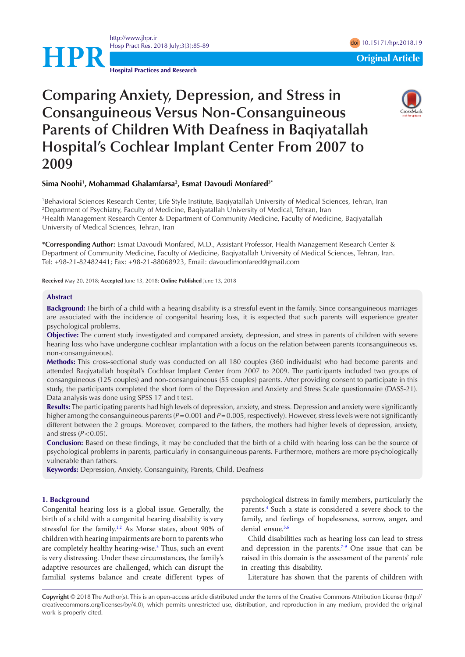<http://www.jhpr.ir> Hosp Pract Res. 2018 July;3(3):85-89 doi 2018 and 2018.19 doi [10.15171/hpr.2018.1](https://doi.org/10.15171/hpr.2018.19)9

**Hospital Practices and Research**

# **HPR**<br> **Original Article**

## **Comparing Anxiety, Depression, and Stress in Consanguineous Versus Non-Consanguineous Parents of Children With Deafness in Baqiyatallah Hospital's Cochlear Implant Center From 2007 to 2009**



### **Sima Noohi1 , Mohammad Ghalamfarsa2 , Esmat Davoudi Monfared3\***

 Behavioral Sciences Research Center, Life Style Institute, Baqiyatallah University of Medical Sciences, Tehran, Iran Department of Psychiatry, Faculty of Medicine, Baqiyatallah University of Medical, Tehran, Iran Health Management Research Center & Department of Community Medicine, Faculty of Medicine, Baqiyatallah University of Medical Sciences, Tehran, Iran

**\*Corresponding Author:** Esmat Davoudi Monfared, M.D., Assistant Professor, Health Management Research Center & Department of Community Medicine, Faculty of Medicine, Baqiyatallah University of Medical Sciences, Tehran, Iran. Tel: +98-21-82482441; Fax: +98-21-88068923, Email: davoudimonfared@gmail.com

**Received** May 20, 2018; **Accepted** June 13, 2018; **Online Published** June 13, 2018

### **Abstract**

**Background:** The birth of a child with a hearing disability is a stressful event in the family. Since consanguineous marriages are associated with the incidence of congenital hearing loss, it is expected that such parents will experience greater psychological problems.

**Objective:** The current study investigated and compared anxiety, depression, and stress in parents of children with severe hearing loss who have undergone cochlear implantation with a focus on the relation between parents (consanguineous vs. non-consanguineous).

**Methods:** This cross-sectional study was conducted on all 180 couples (360 individuals) who had become parents and attended Baqiyatallah hospital's Cochlear Implant Center from 2007 to 2009. The participants included two groups of consanguineous (125 couples) and non-consanguineous (55 couples) parents. After providing consent to participate in this study, the participants completed the short form of the Depression and Anxiety and Stress Scale questionnaire (DASS-21). Data analysis was done using SPSS 17 and t test.

**Results:** The participating parents had high levels of depression, anxiety, and stress. Depression and anxiety were significantly higher among the consanguineous parents ( $P=0.001$  and  $P=0.005$ , respectively). However, stress levels were not significantly different between the 2 groups. Moreover, compared to the fathers, the mothers had higher levels of depression, anxiety, and stress  $(P<0.05)$ .

**Conclusion:** Based on these findings, it may be concluded that the birth of a child with hearing loss can be the source of psychological problems in parents, particularly in consanguineous parents. Furthermore, mothers are more psychologically vulnerable than fathers.

**Keywords:** Depression, Anxiety, Consanguinity, Parents, Child, Deafness

### **1. Background**

Congenital hearing loss is a global issue. Generally, the birth of a child with a congenital hearing disability is very stressful for the family. $1,2$  $1,2$  As Morse states, about 90% of children with hearing impairments are born to parents who are completely healthy hearing-wise.<sup>3</sup> Thus, such an event is very distressing. Under these circumstances, the family's adaptive resources are challenged, which can disrupt the familial systems balance and create different types of psychological distress in family members, particularly the parents.<sup>[4](#page-4-3)</sup> Such a state is considered a severe shock to the family, and feelings of hopelessness, sorrow, anger, and denial ensue.<sup>5[,6](#page-4-5)</sup>

Child disabilities such as hearing loss can lead to stress and depression in the parents.<sup>[7](#page-4-6)[-9](#page-4-7)</sup> One issue that can be raised in this domain is the assessment of the parents' role in creating this disability.

Literature has shown that the parents of children with

**Copyright** © 2018 The Author(s). This is an open-access article distributed under the terms of the Creative Commons Attribution License (http:// creativecommons.org/licenses/by/4.0), which permits unrestricted use, distribution, and reproduction in any medium, provided the original work is properly cited.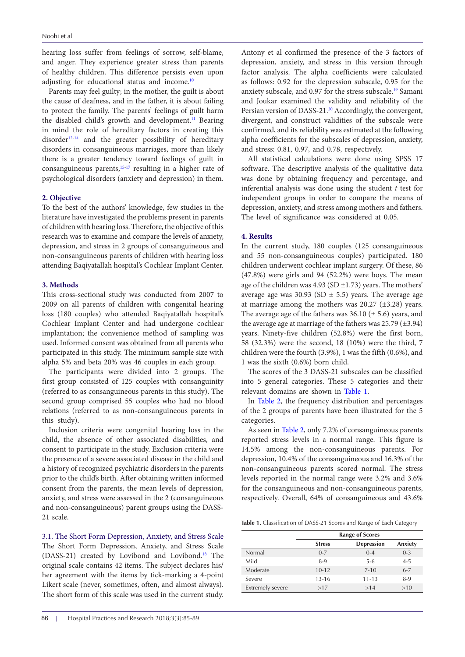hearing loss suffer from feelings of sorrow, self-blame, and anger. They experience greater stress than parents of healthy children. This difference persists even upon adjusting for educational status and income.<sup>[10](#page-4-8)</sup>

Parents may feel guilty; in the mother, the guilt is about the cause of deafness, and in the father, it is about failing to protect the family. The parents' feelings of guilt harm the disabled child's growth and development.<sup>[11](#page-4-9)</sup> Bearing in mind the role of hereditary factors in creating this disorder $12-14$  and the greater possibility of hereditary disorders in consanguineous marriages, more than likely there is a greater tendency toward feelings of guilt in consanguineous parents, $15-17$  $15-17$  resulting in a higher rate of psychological disorders (anxiety and depression) in them.

### **2. Objective**

To the best of the authors' knowledge, few studies in the literature have investigated the problems present in parents of children with hearing loss. Therefore, the objective of this research was to examine and compare the levels of anxiety, depression, and stress in 2 groups of consanguineous and non-consanguineous parents of children with hearing loss attending Baqiyatallah hospital's Cochlear Implant Center.

### **3. Methods**

This cross-sectional study was conducted from 2007 to 2009 on all parents of children with congenital hearing loss (180 couples) who attended Baqiyatallah hospital's Cochlear Implant Center and had undergone cochlear implantation; the convenience method of sampling was used. Informed consent was obtained from all parents who participated in this study. The minimum sample size with alpha 5% and beta 20% was 46 couples in each group.

The participants were divided into 2 groups. The first group consisted of 125 couples with consanguinity (referred to as consanguineous parents in this study). The second group comprised 55 couples who had no blood relations (referred to as non-consanguineous parents in this study).

Inclusion criteria were congenital hearing loss in the child, the absence of other associated disabilities, and consent to participate in the study. Exclusion criteria were the presence of a severe associated disease in the child and a history of recognized psychiatric disorders in the parents prior to the child's birth. After obtaining written informed consent from the parents, the mean levels of depression, anxiety, and stress were assessed in the 2 (consanguineous and non-consanguineous) parent groups using the DASS-21 scale.

3.1. The Short Form Depression, Anxiety, and Stress Scale The Short Form Depression, Anxiety, and Stress Scale (DASS-21) created by Lovibond and Lovibond[.18](#page-4-14) The original scale contains 42 items. The subject declares his/ her agreement with the items by tick-marking a 4-point Likert scale (never, sometimes, often, and almost always). The short form of this scale was used in the current study.

Antony et al confirmed the presence of the 3 factors of depression, anxiety, and stress in this version through factor analysis. The alpha coefficients were calculated as follows: 0.92 for the depression subscale, 0.95 for the anxiety subscale, and 0.97 for the stress subscale.[19](#page-4-15) Samani and Joukar examined the validity and reliability of the Persian version of DASS-21.<sup>20</sup> Accordingly, the convergent, divergent, and construct validities of the subscale were confirmed, and its reliability was estimated at the following alpha coefficients for the subscales of depression, anxiety, and stress: 0.81, 0.97, and 0.78, respectively.

All statistical calculations were done using SPSS 17 software. The descriptive analysis of the qualitative data was done by obtaining frequency and percentage, and inferential analysis was done using the student *t* test for independent groups in order to compare the means of depression, anxiety, and stress among mothers and fathers. The level of significance was considered at 0.05.

### **4. Results**

In the current study, 180 couples (125 consanguineous and 55 non-consanguineous couples) participated. 180 children underwent cochlear implant surgery. Of these, 86 (47.8%) were girls and 94 (52.2%) were boys. The mean age of the children was  $4.93$  (SD  $\pm$ 1.73) years. The mothers' average age was 30.93 (SD  $\pm$  5.5) years. The average age at marriage among the mothers was  $20.27$  ( $\pm$ 3.28) years. The average age of the fathers was  $36.10 \ (\pm 5.6)$  years, and the average age at marriage of the fathers was  $25.79$  ( $\pm 3.94$ ) years. Ninety-five children (52.8%) were the first born, 58 (32.3%) were the second, 18 (10%) were the third, 7 children were the fourth (3.9%), 1 was the fifth (0.6%), and 1 was the sixth (0.6%) born child.

The scores of the 3 DASS-21 subscales can be classified into 5 general categories. These 5 categories and their relevant domains are shown in [Table 1.](#page-1-0)

In [Table 2](#page-2-0), the frequency distribution and percentages of the 2 groups of parents have been illustrated for the 5 categories.

As seen in [Table 2](#page-2-0), only 7.2% of consanguineous parents reported stress levels in a normal range. This figure is 14.5% among the non-consanguineous parents. For depression, 10.4% of the consanguineous and 16.3% of the non-consanguineous parents scored normal. The stress levels reported in the normal range were 3.2% and 3.6% for the consanguineous and non-consanguineous parents, respectively. Overall, 64% of consanguineous and 43.6%

<span id="page-1-0"></span>**Table 1.** Classification of DASS-21 Scores and Range of Each Category

|                         | <b>Range of Scores</b> |                   |         |  |  |
|-------------------------|------------------------|-------------------|---------|--|--|
|                         | <b>Stress</b>          | <b>Depression</b> | Anxiety |  |  |
| Normal                  | $0 - 7$                | $0 - 4$           | $0 - 3$ |  |  |
| Mild                    | $8-9$                  | $5-6$             | $4 - 5$ |  |  |
| Moderate                | $10 - 12$              | $7 - 10$          | $6 - 7$ |  |  |
| Severe                  | $13 - 16$              | $11 - 13$         | $8-9$   |  |  |
| <b>Extremely severe</b> | >17                    | >14               | >10     |  |  |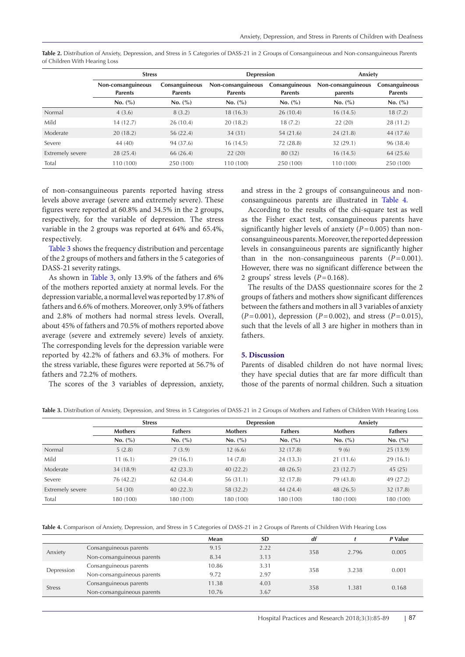<span id="page-2-0"></span>**Table 2.** Distribution of Anxiety, Depression, and Stress in 5 Categories of DASS-21 in 2 Groups of Consanguineous and Non-consanguineous Parents of Children With Hearing Loss

|                         | <b>Stress</b>                        |                                  | Depression                           |                                  | Anxiety                       |                                  |  |
|-------------------------|--------------------------------------|----------------------------------|--------------------------------------|----------------------------------|-------------------------------|----------------------------------|--|
|                         | Non-consanguineous<br><b>Parents</b> | Consanguineous<br><b>Parents</b> | Non-consanguineous<br><b>Parents</b> | Consanguineous<br><b>Parents</b> | Non-consanguineous<br>parents | Consanguineous<br><b>Parents</b> |  |
|                         | No. (%)                              | No. (%)                          | No. (%)                              | No. (%)                          | No. (%)                       | No. (%)                          |  |
| Normal                  | 4(3.6)                               | 8(3.2)                           | 18(16.3)                             | 26(10.4)                         | 16(14.5)                      | 18(7.2)                          |  |
| Mild                    | 14(12.7)                             | 26(10.4)                         | 20(18.2)                             | 18(7.2)                          | 22(20)                        | 28 (11.2)                        |  |
| Moderate                | 20(18.2)                             | 56 (22.4)                        | 34(31)                               | 54 (21.6)                        | 24(21.8)                      | 44 (17.6)                        |  |
| Severe                  | 44 (40)                              | 94 (37.6)                        | 16(14.5)                             | 72 (28.8)                        | 32 (29.1)                     | 96 (38.4)                        |  |
| <b>Extremely severe</b> | 28(25.4)                             | 66(26.4)                         | 22(20)                               | 80 (32)                          | 16(14.5)                      | 64(25.6)                         |  |
| Total                   | 110 (100)                            | 250 (100)                        | 110 (100)                            | 250 (100)                        | 110 (100)                     | 250 (100)                        |  |

of non-consanguineous parents reported having stress levels above average (severe and extremely severe). These figures were reported at 60.8% and 34.5% in the 2 groups, respectively, for the variable of depression. The stress variable in the 2 groups was reported at 64% and 65.4%, respectively.

[Table 3](#page-2-1) shows the frequency distribution and percentage of the 2 groups of mothers and fathers in the 5 categories of DASS-21 severity ratings.

As shown in [Table 3,](#page-2-1) only 13.9% of the fathers and 6% of the mothers reported anxiety at normal levels. For the depression variable, a normal level was reported by 17.8% of fathers and 6.6% of mothers. Moreover, only 3.9% of fathers and 2.8% of mothers had normal stress levels. Overall, about 45% of fathers and 70.5% of mothers reported above average (severe and extremely severe) levels of anxiety. The corresponding levels for the depression variable were reported by 42.2% of fathers and 63.3% of mothers. For the stress variable, these figures were reported at 56.7% of fathers and 72.2% of mothers.

The scores of the 3 variables of depression, anxiety,

and stress in the 2 groups of consanguineous and nonconsanguineous parents are illustrated in [Table 4](#page-2-2).

According to the results of the chi-square test as well as the Fisher exact test, consanguineous parents have significantly higher levels of anxiety (*P*=0.005) than nonconsanguineous parents. Moreover, the reported depression levels in consanguineous parents are significantly higher than in the non-consanguineous parents  $(P=0.001)$ . However, there was no significant difference between the 2 groups' stress levels  $(P=0.168)$ .

The results of the DASS questionnaire scores for the 2 groups of fathers and mothers show significant differences between the fathers and mothers in all 3 variables of anxiety (*P*=0.001), depression (*P*=0.002), and stress (*P*=0.015), such that the levels of all 3 are higher in mothers than in fathers.

### **5. Discussion**

Parents of disabled children do not have normal lives; they have special duties that are far more difficult than those of the parents of normal children. Such a situation

<span id="page-2-1"></span>**Table 3.** Distribution of Anxiety, Depression, and Stress in 5 Categories of DASS-21 in 2 Groups of Mothers and Fathers of Children With Hearing Loss

|                  | <b>Stress</b>  |                | <b>Depression</b> |                | Anxiety        |                |
|------------------|----------------|----------------|-------------------|----------------|----------------|----------------|
|                  | <b>Mothers</b> | <b>Fathers</b> | <b>Mothers</b>    | <b>Fathers</b> | <b>Mothers</b> | <b>Fathers</b> |
|                  | No. (%)        | No. (%)        | No. (%)           | No. (%)        | No. (%)        | No. (%)        |
| Normal           | 5(2.8)         | 7(3.9)         | 12(6.6)           | 32 (17.8)      | 9(6)           | 25(13.9)       |
| Mild             | 11(6.1)        | 29(16.1)       | 14(7.8)           | 24(13.3)       | 21 (11.6)      | 29(16.1)       |
| Moderate         | 34 (18.9)      | 42(23.3)       | 40(22.2)          | 48(26.5)       | 23(12.7)       | 45(25)         |
| Severe           | 76 (42.2)      | 62 (34.4)      | 56(31.1)          | 32 (17.8)      | 79 (43.8)      | 49 (27.2)      |
| Extremely severe | 54 (30)        | 40(22.3)       | 58 (32.2)         | 44(24.4)       | 48(26.5)       | 32 (17.8)      |
| Total            | 180 (100)      | 180 (100)      | 180 (100)         | 180 (100)      | 180 (100)      | 180 (100)      |

<span id="page-2-2"></span>**Table 4.** Comparison of Anxiety, Depression, and Stress in 5 Categories of DASS-21 in 2 Groups of Parents of Children With Hearing Loss

|               |                            | Mean  | <b>SD</b> | df  |       | P Value |
|---------------|----------------------------|-------|-----------|-----|-------|---------|
| Anxiety       | Consanguineous parents     | 9.15  | 2.22      | 358 | 2.796 | 0.005   |
|               | Non-consanguineous parents | 8.34  | 3.13      |     |       |         |
| Depression    | Consanguineous parents     | 10.86 | 3.31      | 358 | 3.238 | 0.001   |
|               | Non-consanguineous parents | 9.72  | 2.97      |     |       |         |
| <b>Stress</b> | Consanguineous parents     | 11.38 | 4.03      | 358 | 1.381 | 0.168   |
|               | Non-consanguineous parents | 10.76 | 3.67      |     |       |         |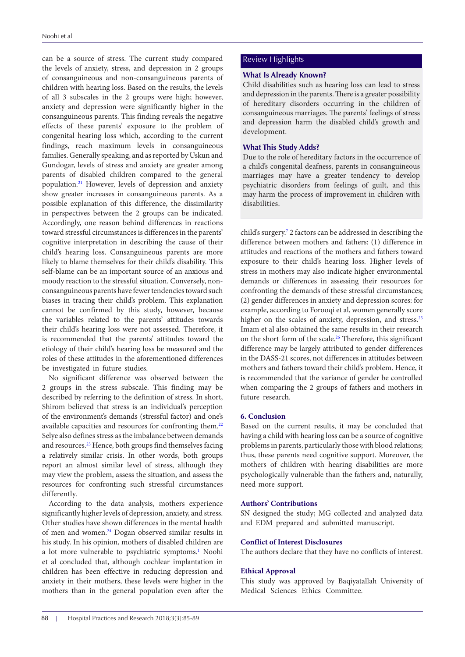can be a source of stress. The current study compared Review Highlights the levels of anxiety, stress, and depression in 2 groups of consanguineous and non-consanguineous parents of children with hearing loss. Based on the results, the levels of all 3 subscales in the 2 groups were high; however, anxiety and depression were significantly higher in the consanguineous parents. This finding reveals the negative effects of these parents' exposure to the problem of congenital hearing loss which, according to the current findings, reach maximum levels in consanguineous families. Generally speaking, and as reported by Uskun and Gundogar, levels of stress and anxiety are greater among parents of disabled children compared to the general population.[21](#page-4-17) However, levels of depression and anxiety show greater increases in consanguineous parents. As a possible explanation of this difference, the dissimilarity in perspectives between the 2 groups can be indicated. Accordingly, one reason behind differences in reactions toward stressful circumstances is differences in the parents' cognitive interpretation in describing the cause of their child's hearing loss. Consanguineous parents are more likely to blame themselves for their child's disability. This self-blame can be an important source of an anxious and moody reaction to the stressful situation. Conversely, nonconsanguineous parents have fewer tendencies toward such biases in tracing their child's problem. This explanation cannot be confirmed by this study, however, because the variables related to the parents' attitudes towards their child's hearing loss were not assessed. Therefore, it is recommended that the parents' attitudes toward the etiology of their child's hearing loss be measured and the roles of these attitudes in the aforementioned differences be investigated in future studies.

No significant difference was observed between the 2 groups in the stress subscale. This finding may be described by referring to the definition of stress. In short, Shirom believed that stress is an individual's perception of the environment's demands (stressful factor) and one's available capacities and resources for confronting them.[22](#page-4-18) Selye also defines stress as the imbalance between demands and resources.<sup>[23](#page-4-19)</sup> Hence, both groups find themselves facing a relatively similar crisis. In other words, both groups report an almost similar level of stress, although they may view the problem, assess the situation, and assess the resources for confronting such stressful circumstances differently.

According to the data analysis, mothers experience significantly higher levels of depression, anxiety, and stress. Other studies have shown differences in the mental health of men and women[.24](#page-4-20) Dogan observed similar results in his study. In his opinion, mothers of disabled children are a lot more vulnerable to psychiatric symptoms.<sup>[1](#page-4-0)</sup> Noohi et al concluded that, although cochlear implantation in children has been effective in reducing depression and anxiety in their mothers, these levels were higher in the mothers than in the general population even after the

### **What Is Already Known?**

Child disabilities such as hearing loss can lead to stress and depression in the parents. There is a greater possibility of hereditary disorders occurring in the children of consanguineous marriages. The parents' feelings of stress and depression harm the disabled child's growth and development.

### **What This Study Adds?**

Due to the role of hereditary factors in the occurrence of a child's congenital deafness, parents in consanguineous marriages may have a greater tendency to develop psychiatric disorders from feelings of guilt, and this may harm the process of improvement in children with disabilities.

child's surgery[.7](#page-4-6) 2 factors can be addressed in describing the difference between mothers and fathers: (1) difference in attitudes and reactions of the mothers and fathers toward exposure to their child's hearing loss. Higher levels of stress in mothers may also indicate higher environmental demands or differences in assessing their resources for confronting the demands of these stressful circumstances; (2) gender differences in anxiety and depression scores: for example, according to Forooqi et al, women generally score higher on the scales of anxiety, depression, and stress.<sup>[25](#page-4-21)</sup> Imam et al also obtained the same results in their research on the short form of the scale.[26](#page-4-22) Therefore, this significant difference may be largely attributed to gender differences in the DASS-21 scores, not differences in attitudes between mothers and fathers toward their child's problem. Hence, it is recommended that the variance of gender be controlled when comparing the 2 groups of fathers and mothers in future research.

### **6. Conclusion**

Based on the current results, it may be concluded that having a child with hearing loss can be a source of cognitive problems in parents, particularly those with blood relations; thus, these parents need cognitive support. Moreover, the mothers of children with hearing disabilities are more psychologically vulnerable than the fathers and, naturally, need more support.

### **Authors' Contributions**

SN designed the study; MG collected and analyzed data and EDM prepared and submitted manuscript.

### **Conflict of Interest Disclosures**

The authors declare that they have no conflicts of interest.

### **Ethical Approval**

This study was approved by Baqiyatallah University of Medical Sciences Ethics Committee.